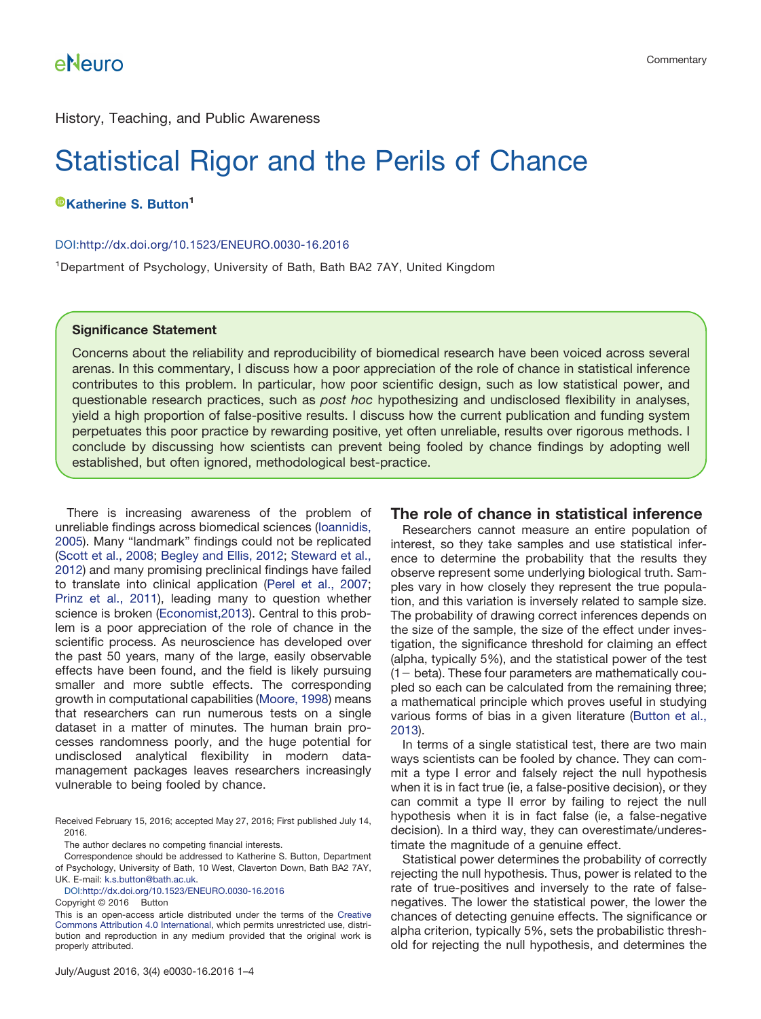History, Teaching, and Public Awareness

# Statistical Rigor and the Perils of Chance

**[Katherine S. Button](http://orcid.org/0000-0003-4332-8789)<sup>1</sup>**

#### DOI[:http://dx.doi.org/10.1523/ENEURO.0030-16.2016](http://dx.doi.org/10.1523/ENEURO.0030-16.2016)

<sup>1</sup>Department of Psychology, University of Bath, Bath BA2 7AY, United Kingdom

#### **Significance Statement**

Concerns about the reliability and reproducibility of biomedical research have been voiced across several arenas. In this commentary, I discuss how a poor appreciation of the role of chance in statistical inference contributes to this problem. In particular, how poor scientific design, such as low statistical power, and questionable research practices, such as *post hoc* hypothesizing and undisclosed flexibility in analyses, yield a high proportion of false-positive results. I discuss how the current publication and funding system perpetuates this poor practice by rewarding positive, yet often unreliable, results over rigorous methods. I conclude by discussing how scientists can prevent being fooled by chance findings by adopting well established, but often ignored, methodological best-practice.

There is increasing awareness of the problem of unreliable findings across biomedical sciences [\(Ioannidis,](#page-3-0) [2005\)](#page-3-0). Many "landmark" findings could not be replicated [\(Scott et al., 2008;](#page-3-1) [Begley and Ellis, 2012;](#page-3-2) [Steward et al.,](#page-3-3) [2012\)](#page-3-3) and many promising preclinical findings have failed to translate into clinical application [\(Perel et al., 2007;](#page-3-4) [Prinz et al., 2011\)](#page-3-5), leading many to question whether science is broken [\(Economist,2013\)](#page-3-6). Central to this problem is a poor appreciation of the role of chance in the scientific process. As neuroscience has developed over the past 50 years, many of the large, easily observable effects have been found, and the field is likely pursuing smaller and more subtle effects. The corresponding growth in computational capabilities [\(Moore, 1998\)](#page-3-7) means that researchers can run numerous tests on a single dataset in a matter of minutes. The human brain processes randomness poorly, and the huge potential for undisclosed analytical flexibility in modern datamanagement packages leaves researchers increasingly vulnerable to being fooled by chance.

Received February 15, 2016; accepted May 27, 2016; First published July 14, 2016.

The author declares no competing financial interests.

Correspondence should be addressed to Katherine S. Button, Department of Psychology, University of Bath, 10 West, Claverton Down, Bath BA2 7AY, UK. E-mail: [k.s.button@bath.ac.uk.](mailto:k.s.button@bath.ac.uk)

DOI[:http://dx.doi.org/10.1523/ENEURO.0030-16.2016](http://dx.doi.org/10.1523/ENEURO.0030-16.2016)

Copyright © 2016 Button

This is an open-access article distributed under the terms of the [Creative](http://creativecommons.org/licenses/by/4.0/) [Commons Attribution 4.0 International,](http://creativecommons.org/licenses/by/4.0/) which permits unrestricted use, distribution and reproduction in any medium provided that the original work is properly attributed.

#### **The role of chance in statistical inference**

Researchers cannot measure an entire population of interest, so they take samples and use statistical inference to determine the probability that the results they observe represent some underlying biological truth. Samples vary in how closely they represent the true population, and this variation is inversely related to sample size. The probability of drawing correct inferences depends on the size of the sample, the size of the effect under investigation, the significance threshold for claiming an effect (alpha, typically 5%), and the statistical power of the test (1- beta). These four parameters are mathematically coupled so each can be calculated from the remaining three; a mathematical principle which proves useful in studying various forms of bias in a given literature [\(Button et al.,](#page-3-8) [2013\)](#page-3-8).

In terms of a single statistical test, there are two main ways scientists can be fooled by chance. They can commit a type I error and falsely reject the null hypothesis when it is in fact true (ie, a false-positive decision), or they can commit a type II error by failing to reject the null hypothesis when it is in fact false (ie, a false-negative decision). In a third way, they can overestimate/underestimate the magnitude of a genuine effect.

Statistical power determines the probability of correctly rejecting the null hypothesis. Thus, power is related to the rate of true-positives and inversely to the rate of falsenegatives. The lower the statistical power, the lower the chances of detecting genuine effects. The significance or alpha criterion, typically 5%, sets the probabilistic threshold for rejecting the null hypothesis, and determines the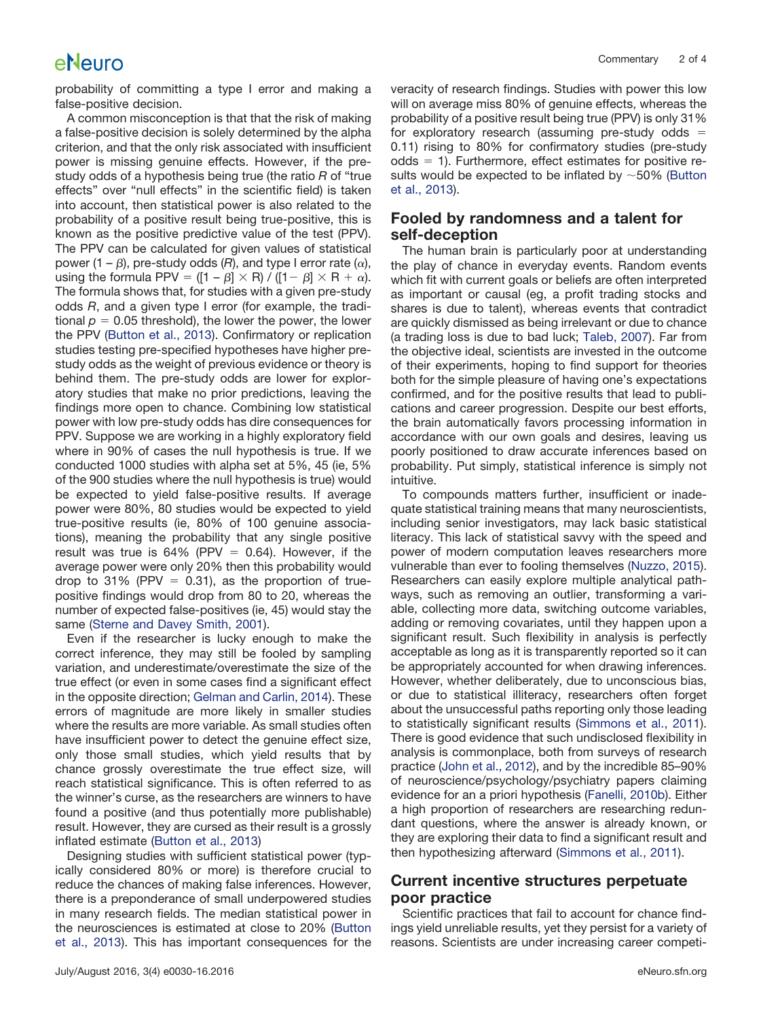## eNeuro

probability of committing a type I error and making a false-positive decision.

A common misconception is that that the risk of making a false-positive decision is solely determined by the alpha criterion, and that the only risk associated with insufficient power is missing genuine effects. However, if the prestudy odds of a hypothesis being true (the ratio *R* of "true effects" over "null effects" in the scientific field) is taken into account, then statistical power is also related to the probability of a positive result being true-positive, this is known as the positive predictive value of the test (PPV). The PPV can be calculated for given values of statistical power (1 –  $\beta$ ), pre-study odds (R), and type I error rate ( $\alpha$ ), using the formula PPV = ([1 –  $\beta$ ]  $\times$  R) / ([1–  $\beta$ ]  $\times$  R +  $\alpha$ ). The formula shows that, for studies with a given pre-study odds *R*, and a given type I error (for example, the traditional  $p = 0.05$  threshold), the lower the power, the lower the PPV [\(Button et al., 2013\)](#page-3-8). Confirmatory or replication studies testing pre-specified hypotheses have higher prestudy odds as the weight of previous evidence or theory is behind them. The pre-study odds are lower for exploratory studies that make no prior predictions, leaving the findings more open to chance. Combining low statistical power with low pre-study odds has dire consequences for PPV. Suppose we are working in a highly exploratory field where in 90% of cases the null hypothesis is true. If we conducted 1000 studies with alpha set at 5%, 45 (ie, 5% of the 900 studies where the null hypothesis is true) would be expected to yield false-positive results. If average power were 80%, 80 studies would be expected to yield true-positive results (ie, 80% of 100 genuine associations), meaning the probability that any single positive result was true is 64% (PPV  $= 0.64$ ). However, if the average power were only 20% then this probability would drop to 31% (PPV  $= 0.31$ ), as the proportion of truepositive findings would drop from 80 to 20, whereas the number of expected false-positives (ie, 45) would stay the same [\(Sterne and Davey Smith, 2001\)](#page-3-9).

Even if the researcher is lucky enough to make the correct inference, they may still be fooled by sampling variation, and underestimate/overestimate the size of the true effect (or even in some cases find a significant effect in the opposite direction; [Gelman and Carlin, 2014\)](#page-3-10). These errors of magnitude are more likely in smaller studies where the results are more variable. As small studies often have insufficient power to detect the genuine effect size, only those small studies, which yield results that by chance grossly overestimate the true effect size, will reach statistical significance. This is often referred to as the winner's curse, as the researchers are winners to have found a positive (and thus potentially more publishable) result. However, they are cursed as their result is a grossly inflated estimate [\(Button et al., 2013\)](#page-3-8)

Designing studies with sufficient statistical power (typically considered 80% or more) is therefore crucial to reduce the chances of making false inferences. However, there is a preponderance of small underpowered studies in many research fields. The median statistical power in the neurosciences is estimated at close to 20% [\(Button](#page-3-8) [et al., 2013\)](#page-3-8). This has important consequences for the veracity of research findings. Studies with power this low will on average miss 80% of genuine effects, whereas the probability of a positive result being true (PPV) is only 31% for exploratory research (assuming pre-study odds  $=$ 0.11) rising to 80% for confirmatory studies (pre-study odds  $= 1$ ). Furthermore, effect estimates for positive results would be expected to be inflated by  $\sim$  50% [\(Button](#page-3-8) [et al., 2013\)](#page-3-8).

#### **Fooled by randomness and a talent for self-deception**

The human brain is particularly poor at understanding the play of chance in everyday events. Random events which fit with current goals or beliefs are often interpreted as important or causal (eg, a profit trading stocks and shares is due to talent), whereas events that contradict are quickly dismissed as being irrelevant or due to chance (a trading loss is due to bad luck; [Taleb, 2007\)](#page-3-11). Far from the objective ideal, scientists are invested in the outcome of their experiments, hoping to find support for theories both for the simple pleasure of having one's expectations confirmed, and for the positive results that lead to publications and career progression. Despite our best efforts, the brain automatically favors processing information in accordance with our own goals and desires, leaving us poorly positioned to draw accurate inferences based on probability. Put simply, statistical inference is simply not intuitive.

To compounds matters further, insufficient or inadequate statistical training means that many neuroscientists, including senior investigators, may lack basic statistical literacy. This lack of statistical savvy with the speed and power of modern computation leaves researchers more vulnerable than ever to fooling themselves [\(Nuzzo, 2015\)](#page-3-12). Researchers can easily explore multiple analytical pathways, such as removing an outlier, transforming a variable, collecting more data, switching outcome variables, adding or removing covariates, until they happen upon a significant result. Such flexibility in analysis is perfectly acceptable as long as it is transparently reported so it can be appropriately accounted for when drawing inferences. However, whether deliberately, due to unconscious bias, or due to statistical illiteracy, researchers often forget about the unsuccessful paths reporting only those leading to statistically significant results [\(Simmons et al., 2011\)](#page-3-13). There is good evidence that such undisclosed flexibility in analysis is commonplace, both from surveys of research practice [\(John et al., 2012\)](#page-3-14), and by the incredible 85–90% of neuroscience/psychology/psychiatry papers claiming evidence for an a priori hypothesis [\(Fanelli, 2010b\)](#page-3-15). Either a high proportion of researchers are researching redundant questions, where the answer is already known, or they are exploring their data to find a significant result and then hypothesizing afterward [\(Simmons et al., 2011\)](#page-3-13).

#### **Current incentive structures perpetuate poor practice**

Scientific practices that fail to account for chance findings yield unreliable results, yet they persist for a variety of reasons. Scientists are under increasing career competi-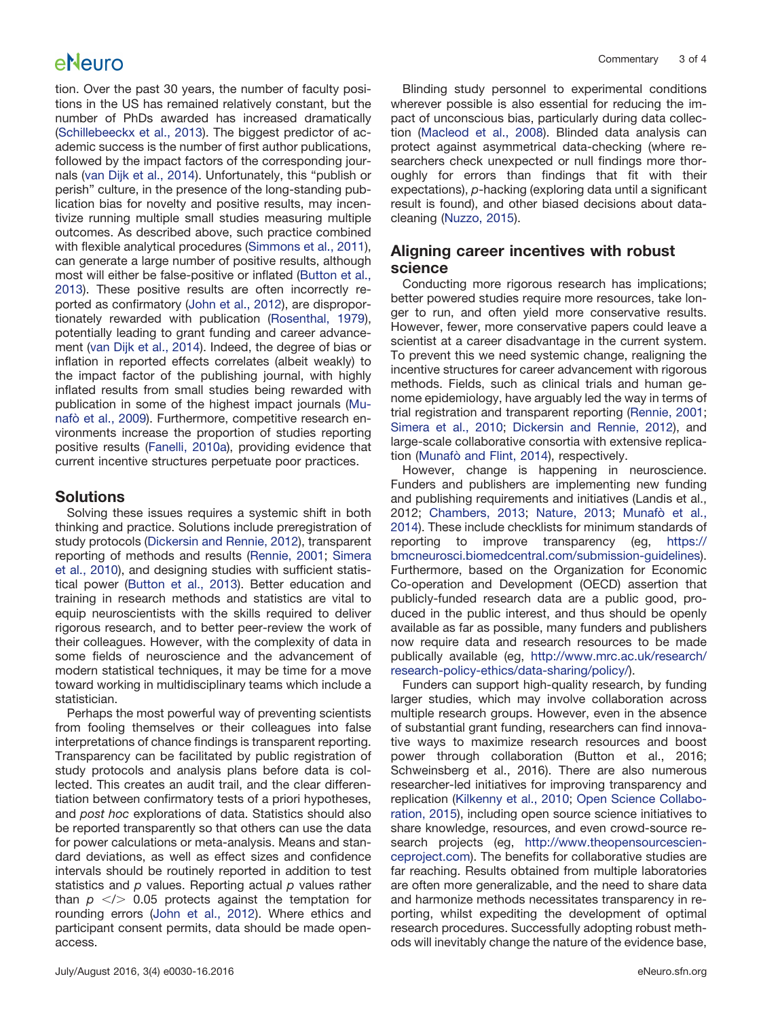# eNeuro

tion. Over the past 30 years, the number of faculty positions in the US has remained relatively constant, but the number of PhDs awarded has increased dramatically [\(Schillebeeckx et al., 2013\)](#page-3-16). The biggest predictor of academic success is the number of first author publications, followed by the impact factors of the corresponding journals [\(van Dijk et al., 2014\)](#page-3-17). Unfortunately, this "publish or perish" culture, in the presence of the long-standing publication bias for novelty and positive results, may incentivize running multiple small studies measuring multiple outcomes. As described above, such practice combined with flexible analytical procedures [\(Simmons et al., 2011\)](#page-3-13), can generate a large number of positive results, although most will either be false-positive or inflated [\(Button et al.,](#page-3-8) [2013\)](#page-3-8). These positive results are often incorrectly reported as confirmatory [\(John et al., 2012\)](#page-3-14), are disproportionately rewarded with publication [\(Rosenthal, 1979\)](#page-3-18), potentially leading to grant funding and career advancement [\(van Dijk et al., 2014\)](#page-3-17). Indeed, the degree of bias or inflation in reported effects correlates (albeit weakly) to the impact factor of the publishing journal, with highly inflated results from small studies being rewarded with publication in some of the highest impact journals [\(Mu](#page-3-19)[nafò et al., 2009\)](#page-3-19). Furthermore, competitive research environments increase the proportion of studies reporting positive results [\(Fanelli, 2010a\)](#page-3-20), providing evidence that current incentive structures perpetuate poor practices.

### **Solutions**

Solving these issues requires a systemic shift in both thinking and practice. Solutions include preregistration of study protocols [\(Dickersin and Rennie, 2012\)](#page-3-21), transparent reporting of methods and results [\(Rennie, 2001;](#page-3-22) [Simera](#page-3-23) [et al., 2010\)](#page-3-23), and designing studies with sufficient statistical power [\(Button et al., 2013\)](#page-3-8). Better education and training in research methods and statistics are vital to equip neuroscientists with the skills required to deliver rigorous research, and to better peer-review the work of their colleagues. However, with the complexity of data in some fields of neuroscience and the advancement of modern statistical techniques, it may be time for a move toward working in multidisciplinary teams which include a statistician.

Perhaps the most powerful way of preventing scientists from fooling themselves or their colleagues into false interpretations of chance findings is transparent reporting. Transparency can be facilitated by public registration of study protocols and analysis plans before data is collected. This creates an audit trail, and the clear differentiation between confirmatory tests of a priori hypotheses, and *post hoc* explorations of data. Statistics should also be reported transparently so that others can use the data for power calculations or meta-analysis. Means and standard deviations, as well as effect sizes and confidence intervals should be routinely reported in addition to test statistics and *p* values. Reporting actual *p* values rather than  $p \le$   $\ge$  0.05 protects against the temptation for rounding errors [\(John et al., 2012\)](#page-3-14). Where ethics and participant consent permits, data should be made openaccess.

Blinding study personnel to experimental conditions wherever possible is also essential for reducing the impact of unconscious bias, particularly during data collection [\(Macleod et al., 2008\)](#page-3-24). Blinded data analysis can protect against asymmetrical data-checking (where researchers check unexpected or null findings more thoroughly for errors than findings that fit with their expectations), *p*-hacking (exploring data until a significant result is found), and other biased decisions about datacleaning [\(Nuzzo, 2015\)](#page-3-12).

### **Aligning career incentives with robust science**

Conducting more rigorous research has implications; better powered studies require more resources, take longer to run, and often yield more conservative results. However, fewer, more conservative papers could leave a scientist at a career disadvantage in the current system. To prevent this we need systemic change, realigning the incentive structures for career advancement with rigorous methods. Fields, such as clinical trials and human genome epidemiology, have arguably led the way in terms of trial registration and transparent reporting [\(Rennie, 2001;](#page-3-22) [Simera et al., 2010;](#page-3-23) [Dickersin and Rennie, 2012\)](#page-3-21), and large-scale collaborative consortia with extensive replication [\(Munafò and Flint, 2014\)](#page-3-25), respectively.

However, change is happening in neuroscience. Funders and publishers are implementing new funding and publishing requirements and initiatives (Landis et al., 2012; [Chambers, 2013;](#page-3-26) [Nature, 2013;](#page-3-27) [Munafò et al.,](#page-3-28) [2014\)](#page-3-28). These include checklists for minimum standards of reporting to improve transparency (eg, [https://](https://bmcneurosci.biomedcentral.com/submission-guidelines) [bmcneurosci.biomedcentral.com/submission-guidelines\)](https://bmcneurosci.biomedcentral.com/submission-guidelines). Furthermore, based on the Organization for Economic Co-operation and Development (OECD) assertion that publicly-funded research data are a public good, produced in the public interest, and thus should be openly available as far as possible, many funders and publishers now require data and research resources to be made publically available (eg, [http://www.mrc.ac.uk/research/](http://www.mrc.ac.uk/research/research-policy-ethics/data-sharing/policy/) [research-policy-ethics/data-sharing/policy/\)](http://www.mrc.ac.uk/research/research-policy-ethics/data-sharing/policy/).

Funders can support high-quality research, by funding larger studies, which may involve collaboration across multiple research groups. However, even in the absence of substantial grant funding, researchers can find innovative ways to maximize research resources and boost power through collaboration (Button et al., 2016; Schweinsberg et al., 2016). There are also numerous researcher-led initiatives for improving transparency and replication [\(Kilkenny et al., 2010;](#page-3-29) [Open Science Collabo](#page-3-30)[ration, 2015\)](#page-3-30), including open source science initiatives to share knowledge, resources, and even crowd-source research projects (eg, [http://www.theopensourcescien](http://www.theopensourcescienceproject.com)[ceproject.com\)](http://www.theopensourcescienceproject.com). The benefits for collaborative studies are far reaching. Results obtained from multiple laboratories are often more generalizable, and the need to share data and harmonize methods necessitates transparency in reporting, whilst expediting the development of optimal research procedures. Successfully adopting robust methods will inevitably change the nature of the evidence base,